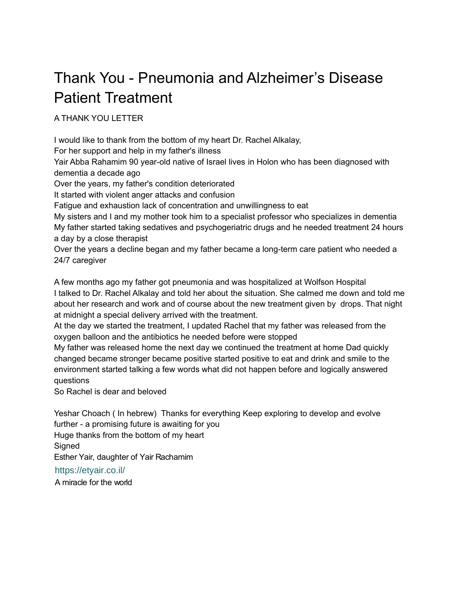## Thank You - Pneumonia and Alzheimer's Disease Patient Treatment

A THANK YOU LETTER

I would like to thank from the bottom of my heart Dr. Rachel Alkalay,

For her support and help in my father's illness

Yair Abba Rahamim 90 year-old native of Israel lives in Holon who has been diagnosed with dementia a decade ago

Over the years, my father's condition deteriorated

It started with violent anger attacks and confusion

Fatigue and exhaustion lack of concentration and unwillingness to eat

My sisters and I and my mother took him to a specialist professor who specializes in dementia My father started taking sedatives and psychogeriatric drugs and he needed treatment 24 hours a day by a close therapist

Over the years a decline began and my father became a long-term care patient who needed a 24/7 caregiver

A few months ago my father got pneumonia and was hospitalized at Wolfson Hospital I talked to Dr. Rachel Alkalay and told her about the situation. She calmed me down and told me about her research and work and of course about the new treatment given by drops. That night at midnight a special delivery arrived with the treatment.

At the day we started the treatment, I updated Rachel that my father was released from the oxygen balloon and the antibiotics he needed before were stopped

My father was released home the next day we continued the treatment at home Dad quickly changed became stronger became positive started positive to eat and drink and smile to the environment started talking a few words what did not happen before and logically answered questions

So Rachel is dear and beloved

Yeshar Choach ( In hebrew) Thanks for everything Keep exploring to develop and evolve further - a promising future is awaiting for you Huge thanks from the bottom of my heart **Signed** Esther Yair, daughter of Yair Rachamim

[https://etyair.co](https://etyair.co.il/).il/

A miracle for the world